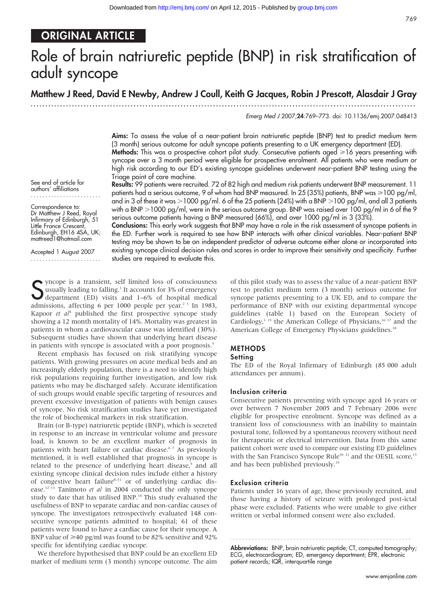# ORIGINAL ARTICLE

# Role of brain natriuretic peptide (BNP) in risk stratification of adult syncope

## Matthew J Reed, David E Newby, Andrew J Coull, Keith G Jacques, Robin J Prescott, Alasdair J Gray

...................................................................................................................................

Emerg Med J 2007;24:769–773. doi: 10.1136/emj.2007.048413

Aims: To assess the value of a near-patient brain natriuretic peptide (BNP) test to predict medium term (3 month) serious outcome for adult syncope patients presenting to a UK emergency department (ED). Methods: This was a prospective cohort pilot study. Consecutive patients aged >16 years presenting with syncope over a 3 month period were eligible for prospective enrolment. All patients who were medium or high risk according to our ED's existing syncope guidelines underwent near-patient BNP testing using the Triage point of care machine.

See end of article for authors' affiliations

Correspondence to: Dr Matthew J Reed, Royal Infirmary of Edinburgh, 51 Little France Crescent, Edinburgh, EH16 4SA, UK; mattreed1@hotmail.com

Accepted 1 August 2007 ........................ Results: 99 patients were recruited. 72 of 82 high and medium risk patients underwent BNP measurement. 11 patients had a serious outcome, 9 of whom had BNP measured. In 25 (35%) patients, BNP was  $\geq 100$  pg/ml, and in 3 of these it was  $>$ 1000 pg/ml. 6 of the 25 patients (24%) with a BNP  $>$ 100 pg/ml, and all 3 patients with a BNP >1000 pg/ml, were in the serious outcome group. BNP was raised over 100 pg/ml in 6 of the 9 serious outcome patients having a BNP measured (66%), and over 1000 pg/ml in 3 (33%).

Conclusions: This early work suggests that BNP may have a role in the risk assessment of syncope patients in the ED. Further work is required to see how BNP interacts with other clinical variables. Near-patient BNP testing may be shown to be an independent predictor of adverse outcome either alone or incorporated into existing syncope clinical decision rules and scores in order to improve their sensitivity and specificity. Further studies are required to evaluate this.

S yncope is a transient, self limited loss of consciousness<br>Susually leading to falling.<sup>1</sup> It accounts for 3% of emergency<br>department (ED) visits and 1–6% of hospital medical<br>admissions, affecting 6 per 1000 poople per ye yncope is a transient, self limited loss of consciousness usually leading to falling.<sup>1</sup> It accounts for 3% of emergency admissions, affecting 6 per 1000 people per year.<sup>23</sup> In 1983, Kapoor  $et \t al<sup>4</sup>$  published the first prospective syncope study showing a 12 month mortality of 14%. Mortality was greatest in patients in whom a cardiovascular cause was identified (30%). Subsequent studies have shown that underlying heart disease in patients with syncope is associated with a poor prognosis.<sup>5</sup>

Recent emphasis has focused on risk stratifying syncope patients. With growing pressures on acute medical beds and an increasingly elderly population, there is a need to identify high risk populations requiring further investigation, and low risk patients who may be discharged safely. Accurate identification of such groups would enable specific targeting of resources and prevent excessive investigation of patients with benign causes of syncope. No risk stratification studies have yet investigated the role of biochemical markers in risk stratification.

Brain (or B-type) natriuretic peptide (BNP), which is secreted in response to an increase in ventricular volume and pressure load, is known to be an excellent marker of prognosis in patients with heart failure or cardiac disease.<sup>67</sup> As previously mentioned, it is well established that prognosis in syncope is related to the presence of underlying heart disease,<sup>5</sup> and all existing syncope clinical decision rules include either a history of congestive heart failure<sup>8-11</sup> or of underlying cardiac disease.12 13 Tanimoto et al in 2004 conducted the only syncope study to date that has utilised BNP.<sup>14</sup> This study evaluated the usefulness of BNP to separate cardiac and non-cardiac causes of syncope. The investigators retrospectively evaluated 148 consecutive syncope patients admitted to hospital; 61 of these patients were found to have a cardiac cause for their syncope. A BNP value of  $\geq 40$  pg/ml was found to be 82% sensitive and 92% specific for identifying cardiac syncope.

We therefore hypothesised that BNP could be an excellent ED marker of medium term (3 month) syncope outcome. The aim of this pilot study was to assess the value of a near-patient BNP test to predict medium term (3 month) serious outcome for syncope patients presenting to a UK ED, and to compare the performance of BNP with our existing departmental syncope guidelines (table 1) based on the European Society of Cardiology,<sup>1 15</sup> the American College of Physicians,<sup>16 17</sup> and the American College of Emergency Physicians guidelines.<sup>18</sup>

### METHODS

#### **Setting**

The ED of the Royal Infirmary of Edinburgh (85 000 adult attendances per annum).

#### Inclusion criteria

Consecutive patients presenting with syncope aged 16 years or over between 7 November 2005 and 7 February 2006 were eligible for prospective enrolment. Syncope was defined as a transient loss of consciousness with an inability to maintain postural tone, followed by a spontaneous recovery without need for therapeutic or electrical intervention. Data from this same patient cohort were used to compare our existing ED guidelines with the San Francisco Syncope Rule<sup>10 11</sup> and the OESIL score,<sup>13</sup> and has been published previously.<sup>19</sup>

#### Exclusion criteria

Patients under 16 years of age, those previously recruited, and those having a history of seizure with prolonged post-ictal phase were excluded. Patients who were unable to give either written or verbal informed consent were also excluded.

Abbreviations: BNP, brain natriuretic peptide; CT, computed tomography; ECG, electrocardiogram; ED, emergency department; EPR, electronic patient records; IQR, interquartile range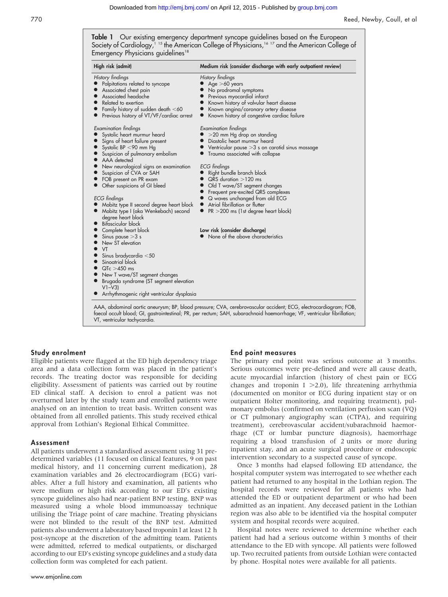Table 1 Our existing emergency department syncope guidelines based on the European Society of Cardiology,<sup>115</sup> the American College of Physicians,<sup>16</sup> <sup>17</sup> and the American College of Emergency Physicians guidelines<sup>18</sup>

| High risk (admit)                                                                                                                                                                                                                                                                                                                                                                                                                                                                                                                                                                                                                                                                                                                                                                                                                                                                                              | Medium risk (consider discharge with early outpatient review)                                                                                                                                                                                                                                                                                                                                                                                                                                                                                                                                                                                                                                                                                                                       |
|----------------------------------------------------------------------------------------------------------------------------------------------------------------------------------------------------------------------------------------------------------------------------------------------------------------------------------------------------------------------------------------------------------------------------------------------------------------------------------------------------------------------------------------------------------------------------------------------------------------------------------------------------------------------------------------------------------------------------------------------------------------------------------------------------------------------------------------------------------------------------------------------------------------|-------------------------------------------------------------------------------------------------------------------------------------------------------------------------------------------------------------------------------------------------------------------------------------------------------------------------------------------------------------------------------------------------------------------------------------------------------------------------------------------------------------------------------------------------------------------------------------------------------------------------------------------------------------------------------------------------------------------------------------------------------------------------------------|
| History findings<br>Palpitations related to syncope<br>Associated chest pain<br>Associated headache<br>Related to exertion<br>Family history of sudden death $<$ 60<br>Previous history of VT/VF/cardiac arrest<br>Examination findings<br>Systolic heart murmur heard<br>Signs of heart failure present<br>Systolic BP $<$ 90 mm Hg<br>Suspicion of pulmonary embolism<br>AAA detected<br>New neurological signs on examination<br>Suspicion of CVA or SAH<br>FOB present on PR exam<br>Other suspicions of GI bleed<br><b>ECG</b> findings<br>Mobitz type II second degree heart block<br>Mobitz type I (aka Wenkebach) second<br>degree heart block<br>• Bifascicular block<br>Complete heart block<br>Sinus pause $>3$ s<br>New ST elevation<br>VT<br>Sinus bradycardia $<$ 50<br>Sinoatrial block<br>$QTc > 450$ ms<br>New T wave/ST segment changes<br>Brugada syndrome (ST segment elevation<br>$V1-V3$ | History findings<br>$\bullet$ Age $>$ 60 years<br>No prodromal symptoms<br>Previous myocardial infarct<br>Known history of valvular heart disease<br>Known angina/coronary artery disease<br>Known history of congestive cardiac failure<br>Examination findings<br>$>$ 20 mm Hg drop on standing<br>Diastolic heart murmur heard<br>• Ventricular pause $>3$ s on carotid sinus massage<br>Trauma associated with collapse<br><b>ECG</b> findings<br>Right bundle branch block<br>$QRS$ duration $>120$ ms<br>• Old T wave/ST segment changes<br>Frequent pre-excited QRS complexes<br>Q waves unchanged from old ECG<br>Atrial fibrillation or flutter<br>PR > 200 ms (1st degree heart block)<br>$\bullet$<br>Low risk (consider discharge)<br>None of the above characteristics |

#### Study enrolment

Eligible patients were flagged at the ED high dependency triage area and a data collection form was placed in the patient's records. The treating doctor was responsible for deciding eligibility. Assessment of patients was carried out by routine ED clinical staff. A decision to enrol a patient was not overturned later by the study team and enrolled patients were analysed on an intention to treat basis. Written consent was obtained from all enrolled patients. This study received ethical approval from Lothian's Regional Ethical Committee.

#### Assessment

All patients underwent a standardised assessment using 31 predetermined variables (11 focused on clinical features, 9 on past medical history, and 11 concerning current medication), 28 examination variables and 26 electrocardiogram (ECG) variables. After a full history and examination, all patients who were medium or high risk according to our ED's existing syncope guidelines also had near-patient BNP testing. BNP was measured using a whole blood immunoassay technique utilising the Triage point of care machine. Treating physicians were not blinded to the result of the BNP test. Admitted patients also underwent a laboratory based troponin I at least 12 h post-syncope at the discretion of the admitting team. Patients were admitted, referred to medical outpatients, or discharged according to our ED's existing syncope guidelines and a study data collection form was completed for each patient.

#### End point measures

The primary end point was serious outcome at 3 months. Serious outcomes were pre-defined and were all cause death, acute myocardial infarction (history of chest pain or ECG changes and troponin I  $>$  2.0), life threatening arrhythmia (documented on monitor or ECG during inpatient stay or on outpatient Holter monitoring, and requiring treatment), pulmonary embolus (confirmed on ventilation perfusion scan (VQ) or CT pulmonary angiography scan (CTPA), and requiring treatment), cerebrovascular accident/subarachnoid haemorrhage (CT or lumbar puncture diagnosis), haemorrhage requiring a blood transfusion of 2 units or more during inpatient stay, and an acute surgical procedure or endoscopic intervention secondary to a suspected cause of syncope.

Once 3 months had elapsed following ED attendance, the hospital computer system was interrogated to see whether each patient had returned to any hospital in the Lothian region. The hospital records were reviewed for all patients who had attended the ED or outpatient department or who had been admitted as an inpatient. Any deceased patient in the Lothian region was also able to be identified via the hospital computer system and hospital records were acquired.

Hospital notes were reviewed to determine whether each patient had had a serious outcome within 3 months of their attendance to the ED with syncope. All patients were followed up. Two recruited patients from outside Lothian were contacted by phone. Hospital notes were available for all patients.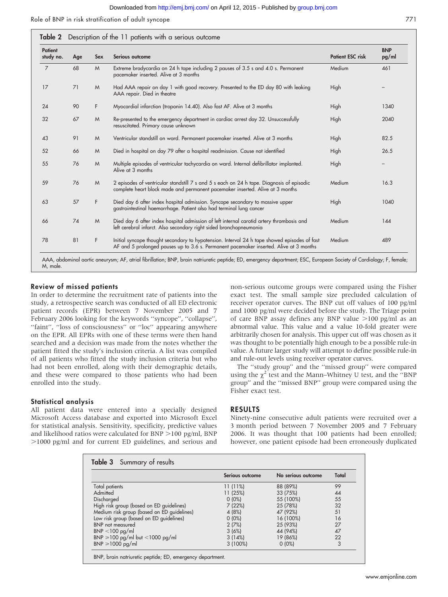Role of BNP in risk stratification of adult syncope 771

| Patient<br>study no. | Age | Sex | Serious outcome                                                                                                                                                                        | <b>Patient ESC risk</b> | <b>BNP</b><br>pg/ml |
|----------------------|-----|-----|----------------------------------------------------------------------------------------------------------------------------------------------------------------------------------------|-------------------------|---------------------|
| $\overline{7}$       | 68  | M   | Extreme bradycardia on 24 h tape including 2 pauses of 3.5 s and 4.0 s. Permanent<br>pacemaker inserted. Alive at 3 months                                                             | Medium                  | 461                 |
| 17                   | 71  | M   | Had AAA repair on day 1 with good recovery. Presented to the ED day 80 with leaking<br>AAA repair. Died in theatre                                                                     | High                    |                     |
| 24                   | 90  | F.  | Myocardial infarction (troponin 14.40). Also fast AF. Alive at 3 months                                                                                                                | High                    | 1340                |
| 32                   | 67  | M   | Re-presented to the emergency department in cardiac arrest day 32. Unsuccessfully<br>resuscitated. Primary cause unknown                                                               | High                    | 2040                |
| 43                   | 91  | M   | Ventricular standstill on ward. Permanent pacemaker inserted. Alive at 3 months                                                                                                        | High                    | 82.5                |
| 52                   | 66  | M   | Died in hospital on day 79 after a hospital readmission. Cause not identified                                                                                                          | High                    | 26.5                |
| 55                   | 76  | M   | Multiple episodes of ventricular tachycardia on ward. Internal defibrillator implanted.<br>Alive at 3 months                                                                           | High                    |                     |
| 59                   | 76  | M   | 2 episodes of ventricular standstill 7 s and 5 s each on 24 h tape. Diagnosis of episodic<br>complete heart block made and permanent pacemaker inserted. Alive at 3 months             | Medium                  | 16.3                |
| 63                   | 57  | F.  | Died day 6 after index hospital admission. Syncope secondary to massive upper<br>gastrointestinal haemorrhage. Patient also had terminal lung cancer                                   | High                    | 1040                |
| 66                   | 74  | M   | Died day 6 after index hospital admission of left internal carotid artery thrombosis and<br>left cerebral infarct. Also secondary right sided bronchopneumonia                         | Medium                  | 144                 |
| 78                   | 81  | F   | Initial syncope thought secondary to hypotension. Interval 24 h tape showed episodes of fast<br>AF and 5 prolonged pauses up to 3.6 s. Permanent pacemaker inserted. Alive at 3 months | Medium                  | 489                 |

M, male.

#### Review of missed patients

In order to determine the recruitment rate of patients into the study, a retrospective search was conducted of all ED electronic patient records (EPR) between 7 November 2005 and 7 February 2006 looking for the keywords ''syncope'', ''collapse'', "faint", "loss of consciousness" or "loc" appearing anywhere on the EPR. All EPRs with one of these terms were then hand searched and a decision was made from the notes whether the patient fitted the study's inclusion criteria. A list was compiled of all patients who fitted the study inclusion criteria but who had not been enrolled, along with their demographic details, and these were compared to those patients who had been enrolled into the study.

#### Statistical analysis

All patient data were entered into a specially designed Microsoft Access database and exported into Microsoft Excel for statistical analysis. Sensitivity, specificity, predictive values and likelihood ratios were calculated for  $BNP > 100$  pg/ml,  $BNP$ .1000 pg/ml and for current ED guidelines, and serious and

non-serious outcome groups were compared using the Fisher exact test. The small sample size precluded calculation of receiver operator curves. The BNP cut off values of 100 pg/ml and 1000 pg/ml were decided before the study. The Triage point of care BNP assay defines any BNP value  $>100$  pg/ml as an abnormal value. This value and a value 10-fold greater were arbitrarily chosen for analysis. This upper cut off was chosen as it was thought to be potentially high enough to be a possible rule-in value. A future larger study will attempt to define possible rule-in and rule-out levels using receiver operator curves.

The ''study group'' and the ''missed group'' were compared using the  $\chi^2$  test and the Mann–Whitney U test, and the "BNP group'' and the ''missed BNP'' group were compared using the Fisher exact test.

#### RESULTS

Ninety-nine consecutive adult patients were recruited over a 3 month period between 7 November 2005 and 7 February 2006. It was thought that 100 patients had been enrolled; however, one patient episode had been erroneously duplicated

|                                            | Serious outcome | No serious outcome | Total |
|--------------------------------------------|-----------------|--------------------|-------|
| Total patients                             | 11(11%)         | 88 (89%)           | 99    |
| Admitted                                   | 11(25%)         | 33 (75%)           | 44    |
| Discharged                                 | $0(0\%)$        | 55 (100%)          | 55    |
| High risk group (based on ED guidelines)   | 7(22%)          | 25 (78%)           | 32    |
| Medium risk group (based on ED guidelines) | 4 (8%)          | 47 (92%)           | 51    |
| Low risk group (based on ED guidelines)    | $0(0\%)$        | 16 (100%)          | 16    |
| <b>BNP</b> not measured                    | 2(7%)           | 25 (93%)           | 27    |
| $BNP < 100$ pg/ml                          | 3(6%)           | 44 (94%)           | 47    |
| BNP $\geq$ 100 pg/ml but <1000 pg/ml       | 3(14%)          | 19 (86%)           | 22    |
| $BNP \ge 1000$ pg/ml                       | 3(100%)         | $0(0\%)$           | 3     |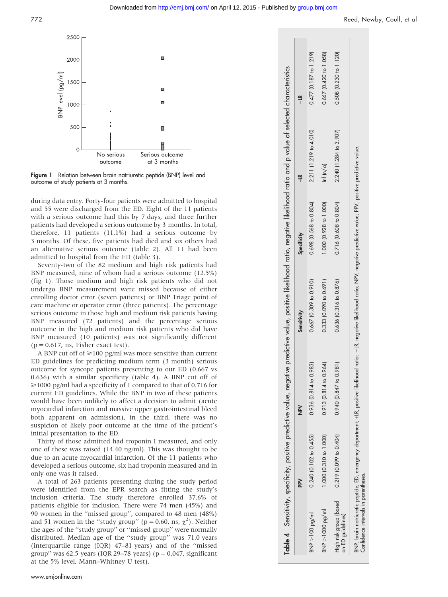#### Downloaded from<http://emj.bmj.com/>on April 12, 2015 - Published by [group.bmj.com](http://group.bmj.com)



**Figure 1** Relation between brain natriuretic peptide (BNP) level and outcome of study patients at 3 months.

during data entry. Forty-four patients were admitted to hospital and 55 were discharged from the ED. Eight of the 11 patients with a serious outcome had this by 7 days, and three further patients had developed a serious outcome by 3 months. In total, therefore, 11 patients (11.1%) had a serious outcome by 3 months. Of these, five patients had died and six others had an alternative serious outcome (table 2). All 11 had been admitted to hospital from the ED (table 3).

Seventy-two of the 82 medium and high risk patients had BNP measured, nine of whom had a serious outcome (12.5%) (fig 1). Those medium and high risk patients who did not undergo BNP measurement were missed because of either enrolling doctor error (seven patients) or BNP Triage point of care machine or operator error (three patients). The percentage serious outcome in those high and medium risk patients having BNP measured (72 patients) and the percentage serious outcome in the high and medium risk patients who did have BNP measured (10 patients) was not significantly different  $(p = 0.617, \text{ns}, \text{Fisher exact test}).$ 

A BNP cut off of >100 pg/ml was more sensitive than current ED guidelines for predicting medium term (3 month) serious outcome for syncope patients presenting to our ED (0.667 vs 0.636) with a similar specificity (table 4). A BNP cut off of  $\geq 1000$  pg/ml had a specificity of 1 compared to that of 0.716 for current ED guidelines. While the BNP in two of these patients would have been unlikely to affect a decision to admit (acute myocardial infarction and massive upper gastrointestinal bleed both apparent on admission), in the third, there was no suspicion of likely poor outcome at the time of the patient's initial presentation to the ED.

Thirty of those admitted had troponin I measured, and only one of these was raised (14.40 ng/ml). This was thought to be due to an acute myocardial infarction. Of the 11 patients who developed a serious outcome, six had troponin measured and in only one was it raised.

A total of 263 patients presenting during the study period were identified from the EPR search as fitting the study's inclusion criteria. The study therefore enrolled 37.6% of patients eligible for inclusion. There were 74 men (45%) and 90 women in the ''missed group'', compared to 48 men (48%) and 51 women in the "study group" ( $p = 0.60$ , ns,  $\chi^2$ ). Neither the ages of the ''study group'' or ''missed group'' were normally distributed. Median age of the ''study group'' was 71.0 years (interquartile range (IQR) 47–81 years) and of the ''missed group" was 62.5 years (IQR 29-78 years) ( $p = 0.047$ , significant at the 5% level, Mann–Whitney U test).

|                                             | Table 4 Sensitivity, specificity, positive predictive value, negative |                                                                                                                                                                                |                              |                              | predictive value, positive likelihood ratio, negative likelihood ratio and p value of selected characteristics |                          |
|---------------------------------------------|-----------------------------------------------------------------------|--------------------------------------------------------------------------------------------------------------------------------------------------------------------------------|------------------------------|------------------------------|----------------------------------------------------------------------------------------------------------------|--------------------------|
|                                             | ΡN                                                                    | NP <sub>N</sub>                                                                                                                                                                | Sensitivity                  | Specificity                  |                                                                                                                | $\frac{1}{1}$            |
| $BN > 100$ pg/ml                            | $0.240$ (0.102 to 0.455)                                              | $0.936$ $(0.814$ to $0.983$                                                                                                                                                    | $0.667$ (0.309 to 0.910)     | 0.698 (0.568 to 0.804)       | $2.211(1.219$ to $4.010$                                                                                       | $0.477$ (0.187 to 1.219) |
| BNP >1000 pg/ml                             | 1.000 (0.310 to 1.000)                                                | 0.913(0.814 to 0.964                                                                                                                                                           | $0.333$ $(0.090$ to $0.691)$ | 1.000 (0.928 to 1.000)       | $\ln f \ln/a$                                                                                                  | 0.667 (0.420 to 1.058)   |
| High risk group (based<br>on ED quidelines) | $0.219$ (0.099 to 0.404)                                              | 0.940 (0.847 to 0.98)                                                                                                                                                          | $0.636$ $(0.316$ to $0.876)$ | $0.716$ $(0.608$ to $0.804)$ | 2.240 (1.284 to 3.907)                                                                                         | 0.508 (0.230 to 1.120)   |
| Confidence intervals in parentheses.        |                                                                       | BNP, brain natriuretic peptide; ED, emergency department; +LR, positive likelihood ratio; –LR, negative likelihood ratio; NPV, negative value; PPV, positive predictive value. |                              |                              |                                                                                                                |                          |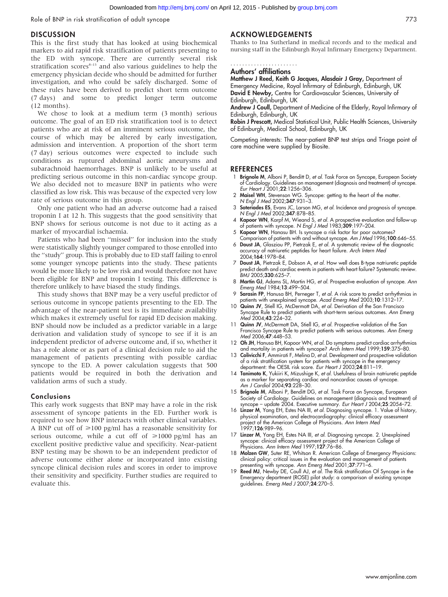Role of BNP in risk stratification of adult syncope 773

#### **DISCUSSION**

This is the first study that has looked at using biochemical markers to aid rapid risk stratification of patients presenting to the ED with syncope. There are currently several risk stratification scores $s<sup>2-13</sup>$  and also various guidelines to help the emergency physician decide who should be admitted for further investigation, and who could be safely discharged. Some of these rules have been derived to predict short term outcome (7 days) and some to predict longer term outcome (12 months).

We chose to look at a medium term (3 month) serious outcome. The goal of an ED risk stratification tool is to detect patients who are at risk of an imminent serious outcome, the course of which may be altered by early investigation, admission and intervention. A proportion of the short term (7 day) serious outcomes were expected to include such conditions as ruptured abdominal aortic aneurysms and subarachnoid haemorrhages. BNP is unlikely to be useful at predicting serious outcome in this non-cardiac syncope group. We also decided not to measure BNP in patients who were classified as low risk. This was because of the expected very low rate of serious outcome in this group.

Only one patient who had an adverse outcome had a raised troponin I at 12 h. This suggests that the good sensitivity that BNP shows for serious outcome is not due to it acting as a marker of myocardial ischaemia.

Patients who had been ''missed'' for inclusion into the study were statistically slightly younger compared to those enrolled into the ''study'' group. This is probably due to ED staff failing to enrol some younger syncope patients into the study. These patients would be more likely to be low risk and would therefore not have been eligible for BNP and troponin I testing. This difference is therefore unlikely to have biased the study findings.

This study shows that BNP may be a very useful predictor of serious outcome in syncope patients presenting to the ED. The advantage of the near-patient test is its immediate availability which makes it extremely useful for rapid ED decision making. BNP should now be included as a predictor variable in a large derivation and validation study of syncope to see if it is an independent predictor of adverse outcome and, if so, whether it has a role alone or as part of a clinical decision rule to aid the management of patients presenting with possible cardiac syncope to the ED. A power calculation suggests that 500 patients would be required in both the derivation and validation arms of such a study.

#### Conclusions

This early work suggests that BNP may have a role in the risk assessment of syncope patients in the ED. Further work is required to see how BNP interacts with other clinical variables. A BNP cut off of  $\geq 100$  pg/ml has a reasonable sensitivity for serious outcome, while a cut off of  $\geq$ 1000 pg/ml has an excellent positive predictive value and specificity. Near-patient BNP testing may be shown to be an independent predictor of adverse outcome either alone or incorporated into existing syncope clinical decision rules and scores in order to improve their sensitivity and specificity. Further studies are required to evaluate this.

#### ACKNOWLEDGEMENTS

Thanks to Ina Sutherland in medical records and to the medical and nursing staff in the Edinburgh Royal Infirmary Emergency Department.

.......................

## Authors' affiliations

Matthew J Reed, Keith G Jacques, Alasdair J Gray, Department of Emergency Medicine, Royal Infirmary of Edinburgh, Edinburgh, UK David E Newby, Centre for Cardiovascular Sciences, University of Edinburgh, Edinburgh, UK

Andrew J Coull, Department of Medicine of the Elderly, Royal Infirmary of Edinburgh, Edinburgh, UK

Robin J Prescott, Medical Statistical Unit, Public Health Sciences, University of Edinburgh, Medical School, Edinburgh, UK

Competing interests: The near-patient BNP test strips and Triage point of care machine were supplied by Biosite.

#### **REFERENCES**

- 1 Brignole M, Alboni P, Benditt D, et al. Task Force on Syncope, European Society of Cardiology. Guidelines on management (diagnosis and treatment) of syncope. Eur Heart J 2001; 22:1256-306.
- 2 Maisel WH, Stevenson WG. Syncope: getting to the heart of the matter. N Engl J Med 2002;347:931–3.
- 3 Soteriades ES, Evans JC, Larson MG, et al. Incidence and prognosis of syncope. N Engl J Med 2002;347:878–85.
- 4 **Kapoor WN**, Karpt M, Wieand S, *et al.* A prospective evaluation and tollow-up of patients with syncope. N Engl J Med 1983;309:197–204.
- 5 Kapoor WN, Hanasu BH. Is syncope a risk factor for poor outcomes?
- Comparison of patients with and without syncope. Am J Med 1996;100:646-55. 6 Doust JA, Glasziou PP, Pietrzak E, et al. A systematic review of the diagnostic accuracy of natriuretic peptides for heart failure. Arch Intern Med 2004;164:1978–84.
- 7 Doust JA, Pietrzak E, Dobson A, et al. How well does B-type natriuretic peptide predict death and cardiac events in patients with heart failure? Systematic review. BMJ 2005;330:625-7
- 8 Martin GJ, Adams SL, Martin HG, et al. Prospective evaluation of syncope. Ann Emerg Med 1984;13:499–504.
- 9 Sarasin FP, Hanusa BH, Perneger T, et al. A risk score to predict arrhythmias in patients with unexplained syncope. Acad Emerg Med 2003;10:1312–17.
- 10 Quinn JV, Stiell IG, McDermott DA, et al. Derivation of the San Francisco Syncope Rule to predict patients with short-term serious outcomes. Ann Emerg Med 2004;43:224–32.
- 11 **Quinn JV**, McDermott DA, Stiell IG, et al. Prospective validation of the San Francisco Syncope Rule to predict patients with serious outcomes. Ann Emerg Med 2006;47:448–53.
- 12 Oh JH, Hanusa BH, Kapoor WN, et al. Do symptoms predict cardiac arrhythmias and mortality in patients with syncope? Arch Intern Med 1999;159:375–80.
- 13 Colivicchi F, Ammirati F, Melina D, et al. Development and prospective validation of a risk stratification system for patients with syncope in the emergency department: the OESIL risk score. *Eur Heart J* 2003;24:811-19.
- 14 Tanimoto K, Yukiiri K, Mizushige K, et al. Usefulness of brain natriuretic peptide as a marker for separating cardiac and noncardiac causes of syncope. Am J Cardiol 2004;93:228–30.
- 15 Brignole M, Alboni P, Benditt DG, et al. Task Force on Syncope, European Society of Cardiology. Guidelines on management (diagnosis and treatment) of syncope – update 2004. Executive summary. Eur Heart J 2004;25:2054–72.
- 16 Linzer M, Yang EH, Estes NA III, et al. Diagnosing syncope. 1. Value of history, physical examination, and electrocardiography: clinical efficacy assessment project of the American College of Physicians. Ann Intern Med 1997;126:989–96.
- 17 Linzer M, Yang EH, Estes NA III, et al. Diagnosing syncope. 2. Unexplained syncope: clinical efficacy assessment project of the American College of Physicians. Ann Intern Med 1997;127:76-86.
- 18 Molzen GW, Suter RE, Whitson R. American College of Emergency Physicians: clinical policy: critical issues in the evaluation and management of patients presenting with syncope. Ann Emerg Med 2001;37:771–6.
- 19 Reed MJ, Newby DE, Coull AJ, et al. The Risk stratification Of Syncope in the Emergency department (ROSE) pilot study: a comparison of existing syncope guidelines. Emerg Med J 2007;24:270–5.